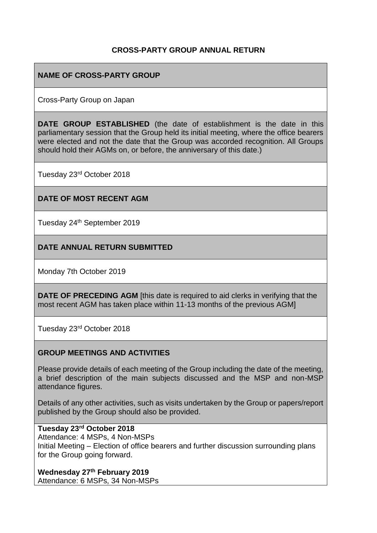### **CROSS-PARTY GROUP ANNUAL RETURN**

## **NAME OF CROSS-PARTY GROUP**

Cross-Party Group on Japan

**DATE GROUP ESTABLISHED** (the date of establishment is the date in this parliamentary session that the Group held its initial meeting, where the office bearers were elected and not the date that the Group was accorded recognition. All Groups should hold their AGMs on, or before, the anniversary of this date.)

Tuesday 23rd October 2018

### **DATE OF MOST RECENT AGM**

Tuesday 24<sup>th</sup> September 2019

### **DATE ANNUAL RETURN SUBMITTED**

Monday 7th October 2019

**DATE OF PRECEDING AGM** [this date is required to aid clerks in verifying that the most recent AGM has taken place within 11-13 months of the previous AGM]

Tuesday 23rd October 2018

### **GROUP MEETINGS AND ACTIVITIES**

Please provide details of each meeting of the Group including the date of the meeting, a brief description of the main subjects discussed and the MSP and non-MSP attendance figures.

Details of any other activities, such as visits undertaken by the Group or papers/report published by the Group should also be provided.

## **Tuesday 23rd October 2018**

Attendance: 4 MSPs, 4 Non-MSPs Initial Meeting – Election of office bearers and further discussion surrounding plans for the Group going forward.

#### **Wednesday 27th February 2019**

Attendance: 6 MSPs, 34 Non-MSPs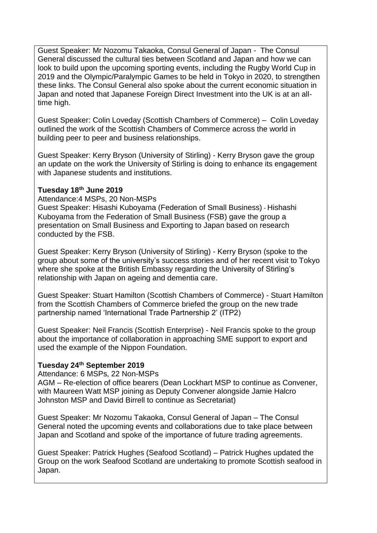Guest Speaker: Mr Nozomu Takaoka, Consul General of Japan - The Consul General discussed the cultural ties between Scotland and Japan and how we can look to build upon the upcoming sporting events, including the Rugby World Cup in 2019 and the Olympic/Paralympic Games to be held in Tokyo in 2020, to strengthen these links. The Consul General also spoke about the current economic situation in Japan and noted that Japanese Foreign Direct Investment into the UK is at an alltime high.

Guest Speaker: Colin Loveday (Scottish Chambers of Commerce) – Colin Loveday outlined the work of the Scottish Chambers of Commerce across the world in building peer to peer and business relationships.

Guest Speaker: Kerry Bryson (University of Stirling) - Kerry Bryson gave the group an update on the work the University of Stirling is doing to enhance its engagement with Japanese students and institutions.

#### **Tuesday 18th June 2019**

Attendance:4 MSPs, 20 Non-MSPs

Guest Speaker: Hisashi Kuboyama (Federation of Small Business) - Hishashi Kuboyama from the Federation of Small Business (FSB) gave the group a presentation on Small Business and Exporting to Japan based on research conducted by the FSB.

Guest Speaker: Kerry Bryson (University of Stirling) - Kerry Bryson (spoke to the group about some of the university's success stories and of her recent visit to Tokyo where she spoke at the British Embassy regarding the University of Stirling's relationship with Japan on ageing and dementia care.

Guest Speaker: Stuart Hamilton (Scottish Chambers of Commerce) - Stuart Hamilton from the Scottish Chambers of Commerce briefed the group on the new trade partnership named 'International Trade Partnership 2' (ITP2)

Guest Speaker: Neil Francis (Scottish Enterprise) - Neil Francis spoke to the group about the importance of collaboration in approaching SME support to export and used the example of the Nippon Foundation.

### **Tuesday 24th September 2019**

Attendance: 6 MSPs, 22 Non-MSPs

AGM – Re-election of office bearers (Dean Lockhart MSP to continue as Convener, with Maureen Watt MSP joining as Deputy Convener alongside Jamie Halcro Johnston MSP and David Birrell to continue as Secretariat)

Guest Speaker: Mr Nozomu Takaoka, Consul General of Japan – The Consul General noted the upcoming events and collaborations due to take place between Japan and Scotland and spoke of the importance of future trading agreements.

Guest Speaker: Patrick Hughes (Seafood Scotland) – Patrick Hughes updated the Group on the work Seafood Scotland are undertaking to promote Scottish seafood in Japan.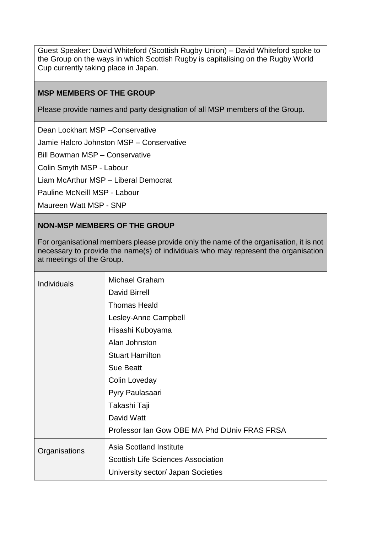Guest Speaker: David Whiteford (Scottish Rugby Union) – David Whiteford spoke to the Group on the ways in which Scottish Rugby is capitalising on the Rugby World Cup currently taking place in Japan.

### **MSP MEMBERS OF THE GROUP**

Please provide names and party designation of all MSP members of the Group.

Dean Lockhart MSP –Conservative

Jamie Halcro Johnston MSP – Conservative

Bill Bowman MSP – Conservative

Colin Smyth MSP - Labour

Liam McArthur MSP – Liberal Democrat

Pauline McNeill MSP - Labour

Maureen Watt MSP - SNP

### **NON-MSP MEMBERS OF THE GROUP**

For organisational members please provide only the name of the organisation, it is not necessary to provide the name(s) of individuals who may represent the organisation at meetings of the Group.

| <b>Michael Graham</b>                        |
|----------------------------------------------|
| <b>David Birrell</b>                         |
| <b>Thomas Heald</b>                          |
| Lesley-Anne Campbell                         |
| Hisashi Kuboyama                             |
| Alan Johnston                                |
| <b>Stuart Hamilton</b>                       |
| <b>Sue Beatt</b>                             |
| Colin Loveday                                |
| Pyry Paulasaari                              |
| Takashi Taji                                 |
| David Watt                                   |
| Professor Ian Gow OBE MA Phd DUniv FRAS FRSA |
| <b>Asia Scotland Institute</b>               |
| <b>Scottish Life Sciences Association</b>    |
| University sector/ Japan Societies           |
|                                              |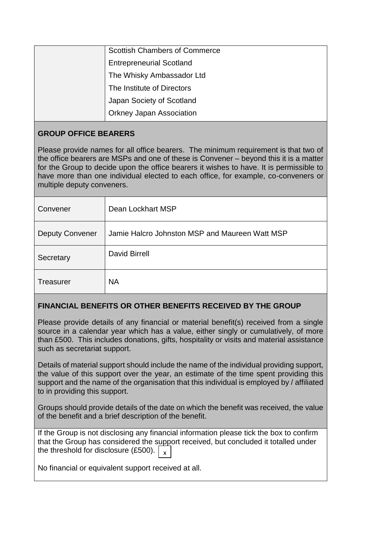| <b>Scottish Chambers of Commerce</b> |
|--------------------------------------|
| <b>Entrepreneurial Scotland</b>      |
| The Whisky Ambassador Ltd            |
| The Institute of Directors           |
| Japan Society of Scotland            |
| <b>Orkney Japan Association</b>      |

# **GROUP OFFICE BEARERS**

Please provide names for all office bearers. The minimum requirement is that two of the office bearers are MSPs and one of these is Convener – beyond this it is a matter for the Group to decide upon the office bearers it wishes to have. It is permissible to have more than one individual elected to each office, for example, co-conveners or multiple deputy conveners.

| Convener               | Dean Lockhart MSP                              |
|------------------------|------------------------------------------------|
| <b>Deputy Convener</b> | Jamie Halcro Johnston MSP and Maureen Watt MSP |
| Secretary              | <b>David Birrell</b>                           |
| <b>Treasurer</b>       | <b>NA</b>                                      |

### **FINANCIAL BENEFITS OR OTHER BENEFITS RECEIVED BY THE GROUP**

Please provide details of any financial or material benefit(s) received from a single source in a calendar year which has a value, either singly or cumulatively, of more than £500. This includes donations, gifts, hospitality or visits and material assistance such as secretariat support.

Details of material support should include the name of the individual providing support, the value of this support over the year, an estimate of the time spent providing this support and the name of the organisation that this individual is employed by / affiliated to in providing this support.

Groups should provide details of the date on which the benefit was received, the value of the benefit and a brief description of the benefit.

If the Group is not disclosing any financial information please tick the box to confirm that the Group has considered the support received, but concluded it totalled under the threshold for disclosure (£500).  $\big\vert_{\,\,\mathsf{x}}$ 

 $\overline{a}$ 

No financial or equivalent support received at all.  $\overline{a}$